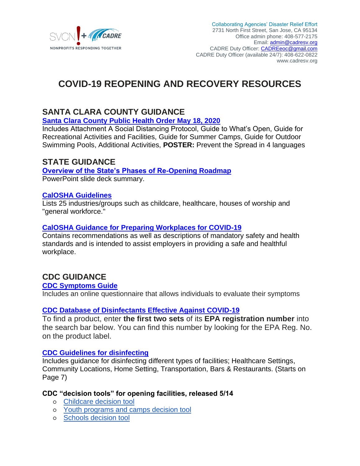

## **COVID-19 REOPENING AND RECOVERY RESOURCES**

### **SANTA CLARA COUNTY GUIDANCE**

**[Santa Clara County Public Health Order May 18, 2020](https://www.sccgov.org/sites/covid19/Pages/order-health-officer-05-18-20.aspx#updates)**

Includes Attachment A Social Distancing Protocol, Guide to What's Open, Guide for Recreational Activities and Facilities, Guide for Summer Camps, Guide for Outdoor Swimming Pools, Additional Activities, **POSTER:** Prevent the Spread in 4 languages

### **STATE GUIDANCE**

#### **[Overview of the State's Phases of Re-Opening Roadmap](https://www.gov.ca.gov/wp-content/uploads/2020/04/Update-on-California-Pandemic-Roadmap.pdf)** PowerPoint slide deck summary.

### **[CalOSHA Guidelines](http://covid19.ca.gov/industry-guidance/)**

Lists 25 industries/groups such as childcare, healthcare, houses of worship and "general workforce."

### **CalOSHA [Guidance for Preparing Workplaces for COVID-19](https://www.osha.gov/Publications/OSHA3990.pdf)**

Contains recommendations as well as descriptions of mandatory safety and health standards and is intended to assist employers in providing a safe and healthful workplace.

### **CDC GUIDANCE**

### **[CDC Symptoms Guide](https://www.cdc.gov/coronavirus/2019-nCoV/index.html)**

Includes an online questionnaire that allows individuals to evaluate their symptoms

### **[CDC Database of Disinfectants Effective Against COVID-19](https://www.epa.gov/pesticide-registration/list-n-disinfectants-use-against-sars-cov-2-covid-19#filter_col1)**

To find a product, enter **the first two sets** of its **EPA registration number** into the search bar below. You can find this number by looking for the EPA Reg. No. on the product label.

### **[CDC Guidelines for disinfecting](https://www.cdc.gov/coronavirus/2019-ncov/community/pdf/Reopening_America_Guidance.pdf)**

Includes guidance for disinfecting different types of facilities; Healthcare Settings, Community Locations, Home Setting, Transportation, Bars & Restaurants. (Starts on Page 7)

### **CDC "decision tools" for opening facilities, released 5/14**

- [Childcare decision tool](https://www.cdc.gov/coronavirus/2019-ncov/community/schools-childcare/Childcare-Decision-Tree.pdf)
- [Youth programs and camps decision tool](https://www.cdc.gov/coronavirus/2019-ncov/community/schools-childcare/Camps-Decision-Tree.pdf)
- o [Schools decision tool](https://www.cdc.gov/coronavirus/2019-ncov/community/schools-childcare/Schools-Decision-Tree.pdf)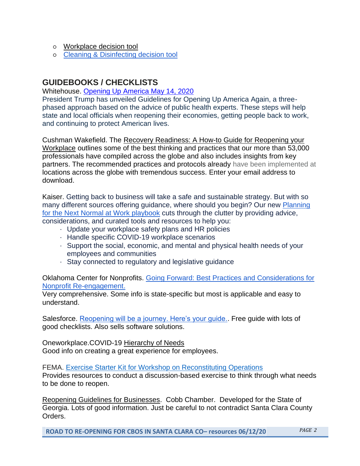- [Workplace decision tool](https://www.cdc.gov/coronavirus/2019-ncov/community/organizations/workplace-decision-tool.html)
- [Cleaning & Disinfecting decision tool](https://www.cdc.gov/coronavirus/2019-ncov/community/cleaning-disinfecting-decision-tool.html)

### **GUIDEBOOKS / CHECKLISTS**

### Whitehouse. [Opening Up America May 14, 2020](https://www.whitehouse.gov/openingamerica/)

President Trump has unveiled Guidelines for Opening Up America Again, a threephased approach based on the advice of public health experts. These steps will help state and local officials when reopening their economies, getting people back to work, and continuing to protect American lives.

Cushman Wakefield. The [Recovery Readiness: A How-to Guide for Reopening your](https://www.cushmanwakefield.com/en/insights/covid-19/recovery-readiness-a-how-to-guide-for-reopening-your-workplace)  [Workplace](https://www.cushmanwakefield.com/en/insights/covid-19/recovery-readiness-a-how-to-guide-for-reopening-your-workplace) outlines some of the best thinking and practices that our more than 53,000 professionals have compiled across the globe and also includes insights from key partners. The recommended practices and protocols already have been implemented at locations across the globe with tremendous success. Enter your email address to download.

Kaiser. Getting back to business will take a safe and sustainable strategy. But with so many different sources offering guidance, where should you begin? Our ne[w](http://app.respond.kaiserpermanente.org/e/er?s=936847217&lid=9612&elqTrackId=8fe1a60621c3494882bb589e11b42246&elq=408fa1458cfc4fd5bb6afd8d8d51004d&elqaid=7733&elqat=1) [Planning](http://app.respond.kaiserpermanente.org/e/er?s=936847217&lid=9612&elqTrackId=8fe1a60621c3494882bb589e11b42246&elq=408fa1458cfc4fd5bb6afd8d8d51004d&elqaid=7733&elqat=1)  [for the Next Normal at Work playbook](http://app.respond.kaiserpermanente.org/e/er?s=936847217&lid=9612&elqTrackId=8fe1a60621c3494882bb589e11b42246&elq=408fa1458cfc4fd5bb6afd8d8d51004d&elqaid=7733&elqat=1) cuts through the clutter by providing advice, considerations, and curated tools and resources to help you:

· Update your workplace safety plans and HR policies

- · Handle specific COVID-19 workplace scenarios
- · Support the social, economic, and mental and physical health needs of your employees and communities
- · Stay connected to regulatory and legislative guidance

Oklahoma Center for Nonprofits. [Going Forward: Best Practices and Considerations for](https://www.oklahomacenterfornonprofits.org/wp-content/uploads/2020/05/okcnpreengagement-may-4-2020-full.pdf)  [Nonprofit Re-engagement.](https://www.oklahomacenterfornonprofits.org/wp-content/uploads/2020/05/okcnpreengagement-may-4-2020-full.pdf)

Very comprehensive. Some info is state-specific but most is applicable and easy to understand.

Salesforce. [Reopening will be a journey. Here's your guide..](https://www.salesforce.com/work/) Free guide with lots of good checklists. Also sells software solutions.

Oneworkplace.COVID-19 [Hierarchy of Needs](https://oneworkplace.com/blog/a-covid-19-hierarchy-of-needs) Good info on creating a great experience for employees.

FEMA. [Exercise Starter Kit for Workshop on Reconstituting Operations](https://www.fema.gov/media-library/assets/documents/188077) Provides resources to conduct a discussion-based exercise to think through what needs to be done to reopen.

[Reopening Guidelines for Businesses.](https://covidsupport.cobbchamber.org/reopening-guidelines) Cobb Chamber. Developed for the State of Georgia. Lots of good information. Just be careful to not contradict Santa Clara County Orders.

**ROAD TO RE-OPENING FOR CBOS IN SANTA CLARA CO– resources 06/12/20** *PAGE 2*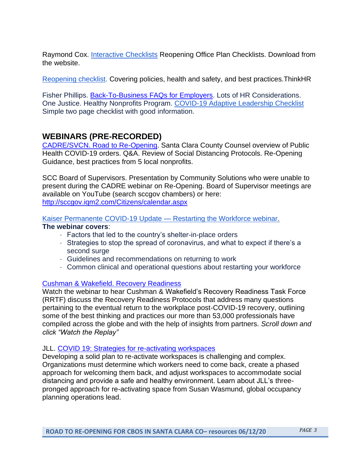Raymond Cox. [Interactive Checklists](https://www.raymondcoxconsulting.com/blog/) Reopening Office Plan Checklists. Download from the website.

[Reopening checklist.](http://pages.thinkhr.com/rs/276-KTW-573/images/Return-to-Work-Checklist-20200421B.pdf) Covering policies, health and safety, and best practices.ThinkHR

Fisher Phillips. [Back-To-Business FAQs for Employers.](https://www.fisherphillips.com/post-pandemic-faqs#L5) Lots of HR Considerations. One Justice. Healthy Nonprofits Program. [COVID-19 Adaptive Leadership Checklist](https://secureservercdn.net/166.62.111.84/f16.4bd.myftpupload.com/wp-content/uploads/2020/04/OneJustice-COVID-19-Adaptive-Leadership-Checklist-2.pdf) Simple two page checklist with good information.

### **WEBINARS (PRE-RECORDED)**

[CADRE/SVCN. Road to Re-Opening.](https://www.youtube.com/watch?v=NXomzFk8M48&feature=youtu.be) Santa Clara County Counsel overview of Public Health COVID-19 orders. Q&A. Review of Social Distancing Protocols. Re-Opening Guidance, best practices from 5 local nonprofits.

SCC Board of Supervisors. Presentation by Community Solutions who were unable to present during the CADRE webinar on Re-Opening. Board of Supervisor meetings are available on YouTube (search sccgov chambers) or here: [http://sccgov.iqm2.com/Citizens/calendar.aspx](Board%20of%20Supervisor%20meetings%20are%20available%20on%20YouTube%20(search%20sccgov%20chambers)%20or%20here:%20http:/sccgov.iqm2.com/Citizens/calendar.aspx)

Kaiser Permanente COVID-19 Update — [Restarting the Workforce webinar.](http://app.respond.kaiserpermanente.org/e/er?s=936847217&lid=9529&elqTrackId=ff568d7fe3444f63bc1a6ee53dc4d431&elq=408fa1458cfc4fd5bb6afd8d8d51004d&elqaid=7733&elqat=1)

### **The webinar covers**:

- · Factors that led to the country's shelter-in-place orders
- · Strategies to stop the spread of coronavirus, and what to expect if there's a second surge
- · Guidelines and recommendations on returning to work
- · Common clinical and operational questions about restarting your workforce

### [Cushman & Wakefield. Recovery Readiness](https://www.cushmanwakefield.com/en/insights/covid-19/recovery-readiness-a-how-to-guide-for-reopening-your-workplace)

Watch the webinar to hear Cushman & Wakefield's Recovery Readiness Task Force (RRTF) discuss the Recovery Readiness Protocols that address many questions pertaining to the eventual return to the workplace post-COVID-19 recovery, outlining some of the best thinking and practices our more than 53,000 professionals have compiled across the globe and with the help of insights from partners. *Scroll down and click "Watch the Replay"*

### JLL. [COVID 19: Strategies for re-activating workspaces](https://www.us.jll.com/en/coronavirus-resources)

Developing a solid plan to re-activate workspaces is challenging and complex. Organizations must determine which workers need to come back, create a phased approach for welcoming them back, and adjust workspaces to accommodate social distancing and provide a safe and healthy environment. Learn about JLL's threepronged approach for re-activating space from Susan Wasmund, global occupancy planning operations lead.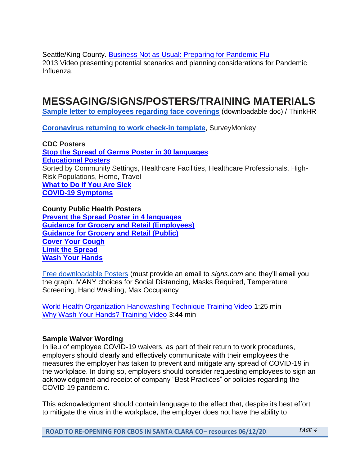Seattle/King County. [Business Not as Usual: Preparing for Pandemic Flu](https://www.youtube.com/watch?v=7p0hr2qnIfs) 2013 Video presenting potential scenarios and planning considerations for Pandemic Influenza.

## **MESSAGING/SIGNS/POSTERS/TRAINING MATERIALS**

**[Sample letter to employees regarding face coverings](http://pages.thinkhr.com/rs/276-KTW-573/images/Employee%20Notice%20-%20Face%20Coverings.docx)** (downloadable doc) / ThinkHR

**[Coronavirus returning to work check-in template](https://www.surveymonkey.com/mp/coronavirus-return-to-work-survey-template/)**, SurveyMonkey

**CDC Poster[s](https://www.cdc.gov/coronavirus/2019-ncov/communication/print-resources.html?Sort=Date%3A%3Adesc&Search=stop%20the%20spread%20of%20germs) [Stop the Spread of Germs Poster in 30 languages](https://www.cdc.gov/coronavirus/2019-ncov/communication/print-resources.html?Sort=Date%3A%3Adesc&Search=stop%20the%20spread%20of%20germs) [Educational Posters](https://www.cdc.gov/coronavirus/2019-ncov/communication/print-resources.html?Sort=Date%3A%3Adesc)** Sorted by Community Settings, Healthcare Facilities, Healthcare Professionals, High-Risk Populations, Home, Travel **[What to Do If You Are Sick](http://www.cadresv.org/wp-content/uploads/2020/03/sick-with-2019-nCoV-fact-sheetEnglish-2.pdf) [COVID-19 Symptoms](http://www.cadresv.org/wp-content/uploads/2020/03/COVID19-symptoms-English.pdf)**

#### **County Public Health Posters**

**[Prevent the Spread Poster in 4](https://www.sccgov.org/sites/covid19/Pages/learn-what-to-do-flyers.aspx) languages [Guidance for Grocery and Retail \(Employees\)](https://www.sccgov.org/sites/covid19/Pages/learn-what-to-do-flyers.aspx) [Guidance for Grocery and Retail \(Public\)](https://www.sccgov.org/sites/covid19/Pages/learn-what-to-do-flyers.aspx) [Cover Your Cough](https://www.sccgov.org/sites/covid19/Pages/learn-what-to-do-flyers.aspx) [Limit the Spread](https://www.sccgov.org/sites/covid19/Pages/learn-what-to-do-flyers.aspx) [Wash Your Hands](https://www.sccgov.org/sites/covid19/Pages/learn-what-to-do-flyers.aspx)**

[Free downloadable Posters](https://www.signs.com/coronavirus-signage/) (must provide an email to *signs.com* and they'll email you the graph. MANY choices for Social Distancing, Masks Required, Temperature Screening, Hand Washing, Max Occupancy

[World Health Organization Handwashing Technique Training Video](https://www.youtube.com/watch?v=IisgnbMfKvI) 1:25 min [Why Wash Your Hands? Training Video](https://www.youtube.com/watch?v=-LKVUarhtvE) 3:44 min

### **Sample Waiver Wording**

In lieu of employee COVID-19 waivers, as part of their return to work procedures, employers should clearly and effectively communicate with their employees the measures the employer has taken to prevent and mitigate any spread of COVID-19 in the workplace. In doing so, employers should consider requesting employees to sign an acknowledgment and receipt of company "Best Practices" or policies regarding the COVID-19 pandemic.

This acknowledgment should contain language to the effect that, despite its best effort to mitigate the virus in the workplace, the employer does not have the ability to

**ROAD TO RE-OPENING FOR CBOS IN SANTA CLARA CO– resources 06/12/20** *PAGE 4*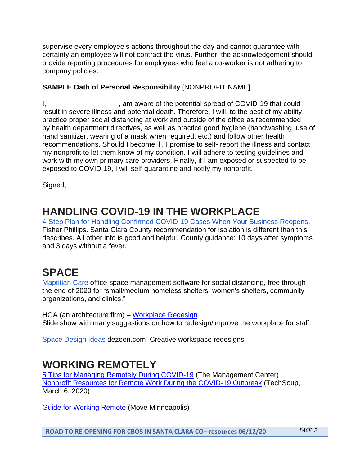supervise every employee's actions throughout the day and cannot guarantee with certainty an employee will not contract the virus. Further, the acknowledgement should provide reporting procedures for employees who feel a co-worker is not adhering to company policies.

### **SAMPLE Oath of Personal Responsibility** [NONPROFIT NAME]

I,  $\frac{1}{2}$  am aware of the potential spread of COVID-19 that could result in severe illness and potential death. Therefore, I will, to the best of my ability, practice proper social distancing at work and outside of the office as recommended by health department directives, as well as practice good hygiene (handwashing, use of hand sanitizer, wearing of a mask when required, etc.) and follow other health recommendations. Should I become ill, I promise to self- report the illness and contact my nonprofit to let them know of my condition. I will adhere to testing guidelines and work with my own primary care providers. Finally, if I am exposed or suspected to be exposed to COVID-19, I will self-quarantine and notify my nonprofit.

Signed,

# **HANDLING COVID-19 IN THE WORKPLACE**

[4-Step Plan for Handling Confirmed COVID-19 Cases When Your Business Reopens,](https://www.fisherphillips.com/resources-alerts-4-step-plan-for-handling-confirmed-covid) Fisher Phillips. Santa Clara County recommendation for isolation is different than this describes. All other info is good and helpful. County guidance: 10 days after symptoms and 3 days without a fever.

## **SPACE**

[Maptitian Care](https://maptician.com/care?fbclid=IwAR21POJMb6K32gQig_uVFQceMLvnqaxVzQx3dnjKrnVmYcoPbaBD-vttz7A) office-space management software for social distancing, free through the end of 2020 for "small/medium homeless shelters, women's shelters, community organizations, and clinics."

HGA (an architecture firm) – [Workplace Redesign](https://hga.com/redefining-the-workplace-after-covid-19/) Slide show with many suggestions on how to redesign/improve the workplace for staff

[Space Design Ideas](https://www.dezeen.com/2020/06/11/woods-bagot-office-layouts-post-coronavirus/) dezeen.com Creative workspace redesigns.

## **WORKING REMOTELY**

[5 Tips for Managing Remotely During COVID-19](http://www.managementcenter.org/article/5-tips-for-managing-remotely-during-covid-19/) (The Management Center) [Nonprofit Resources for Remote Work During the COVID-19 Outbreak](https://blog.techsoup.org/posts/nonprofit-resources-for-remote-work-during-the-covid-19-outbreak) (TechSoup, March 6, 2020)

[Guide for Working Remote](https://moveminneapolis.org/remote-working/) (Move Minneapolis)

**ROAD TO RE-OPENING FOR CBOS IN SANTA CLARA CO– resources 06/12/20** *PAGE 5*